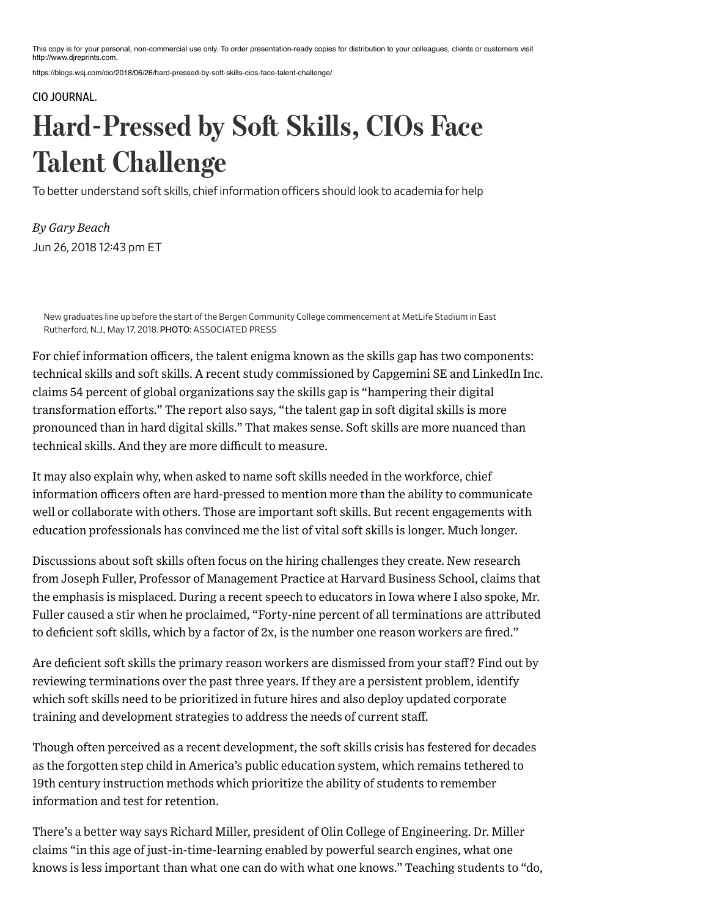This copy is for your personal, non-commercial use only. To order presentation-ready copies for distribution to your colleagues, clients or customers visit http://www.djreprints.com.

https://blogs.wsj.com/cio/2018/06/26/hard-pressed-by-soft-skills-cios-face-talent-challenge/

## CIO JOURNAL.

## Hard-Pressed by Soft Skills, CIOs Face Talent Challenge

To better understand soft skills, chief information officers should look to academia for help

Jun 26, 2018 12:43 pm ET *By Gary Beach*

New graduates line up before the start ofthe Bergen Community College commencement at MetLife Stadium in East Rutherford, N.J., May 17, 2018. PHOTO: ASSOCIATED PRESS

For chief information officers, the talent enigma known as the skills gap has two components: technical skills and soft skills. A recent study commissioned by Capgemini SE and LinkedIn Inc. claims 54 percent of global organizations say the skills gap is "hampering their digital transformation efforts." The report also says, "the talent gap in soft digital skills is more pronounced than in hard digital skills." That makes sense. Soft skills are more nuanced than technical skills. And they are more difficult to measure.

It may also explain why, when asked to name soft skills needed in the workforce, chief information officers often are hard-pressed to mention more than the ability to communicate well or collaborate with others. Those are important soft skills. But recent engagements with education professionals has convinced me the list of vital soft skills is longer. Much longer.

Discussions about soft skills often focus on the hiring challenges they create. New research from Joseph Fuller, Professor of Management Practice at Harvard Business School, claims that the emphasis is misplaced. During a recent speech to educators in Iowa where I also spoke, Mr. Fuller caused a stir when he proclaimed, "Forty-nine percent of all terminations are attributed to deficient soft skills, which by a factor of 2x, is the number one reason workers are fired."

Are deficient soft skills the primary reason workers are dismissed from your staff? Find out by reviewing terminations over the past three years. If they are a persistent problem, identify which soft skills need to be prioritized in future hires and also deploy updated corporate training and development strategies to address the needs of current staff.

Though often perceived as a recent development, the soft skills crisis has festered for decades as the forgotten step child in America's public education system, which remains tethered to 19th century instruction methods which prioritize the ability of students to remember information and test for retention.

There's a better way says Richard Miller, president of Olin College of Engineering. Dr. Miller claims "in this age of just-in-time-learning enabled by powerful search engines, what one knows is less important than what one can do with what one knows." Teaching students to "do,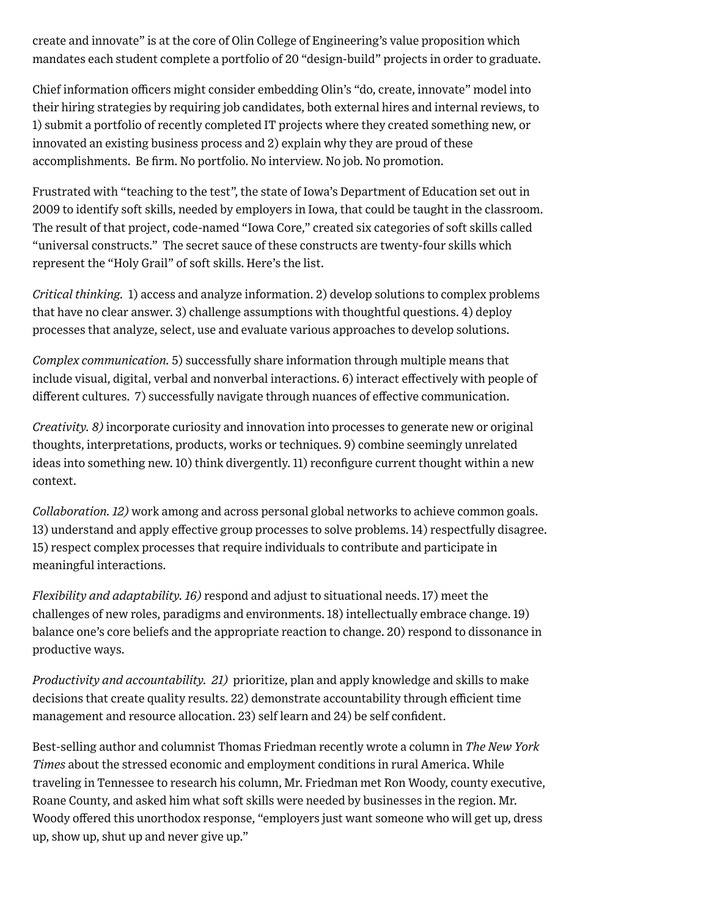create and innovate" is at the core of Olin College of Engineering's value proposition which mandates each student complete a portfolio of 20 "design-build" projects in order to graduate.

Chief information officers might consider embedding Olin's "do, create, innovate" model into their hiring strategies by requiring job candidates, both external hires and internal reviews, to 1) submit a portfolio of recently completed IT projects where they created something new, or innovated an existing business process and 2) explain why they are proud of these accomplishments. Be firm. No portfolio. No interview. No job. No promotion.

Frustrated with "teaching to the test", the state of Iowa's Department of Education set out in 2009 to identify soft skills, needed by employers in Iowa, that could be taught in the classroom. The result of that project, code-named "Iowa Core," created six categories of soft skills called "universal constructs." The secret sauce of these constructs are twenty-four skills which represent the "Holy Grail" of soft skills. Here's the list.

*Critical thinking.* 1) access and analyze information. 2) develop solutions to complex problems that have no clear answer. 3) challenge assumptions with thoughtful questions. 4) deploy processes that analyze, select, use and evaluate various approaches to develop solutions.

*Complex communication.* 5) successfully share information through multiple means that include visual, digital, verbal and nonverbal interactions. 6) interact effectively with people of different cultures. 7) successfully navigate through nuances of effective communication.

*Creativity. 8)* incorporate curiosity and innovation into processes to generate new or original thoughts, interpretations, products, works or techniques. 9) combine seemingly unrelated ideas into something new. 10) think divergently. 11) reconfigure current thought within a new context.

*Collaboration. 12)* work among and across personal global networks to achieve common goals. 13) understand and apply effective group processes to solve problems. 14) respectfully disagree. 15) respect complex processes that require individuals to contribute and participate in meaningful interactions.

*Flexibility and adaptability. 16)* respond and adjust to situational needs. 17) meet the challenges of new roles, paradigms and environments. 18) intellectually embrace change. 19) balance one's core beliefs and the appropriate reaction to change. 20) respond to dissonance in productive ways.

*Productivity and accountability. 21)* prioritize, plan and apply knowledge and skills to make decisions that create quality results. 22) demonstrate accountability through efficient time management and resource allocation. 23) self learn and 24) be self confident.

Best-selling author and columnist Thomas Friedman recently wrote a column in *The New York Times* about the stressed economic and employment conditions in rural America. While traveling in Tennessee to research his column, Mr. Friedman met Ron Woody, county executive, Roane County, and asked him what soft skills were needed by businesses in the region. Mr. Woody offered this unorthodox response, "employers just want someone who will get up, dress up, show up, shut up and never give up."